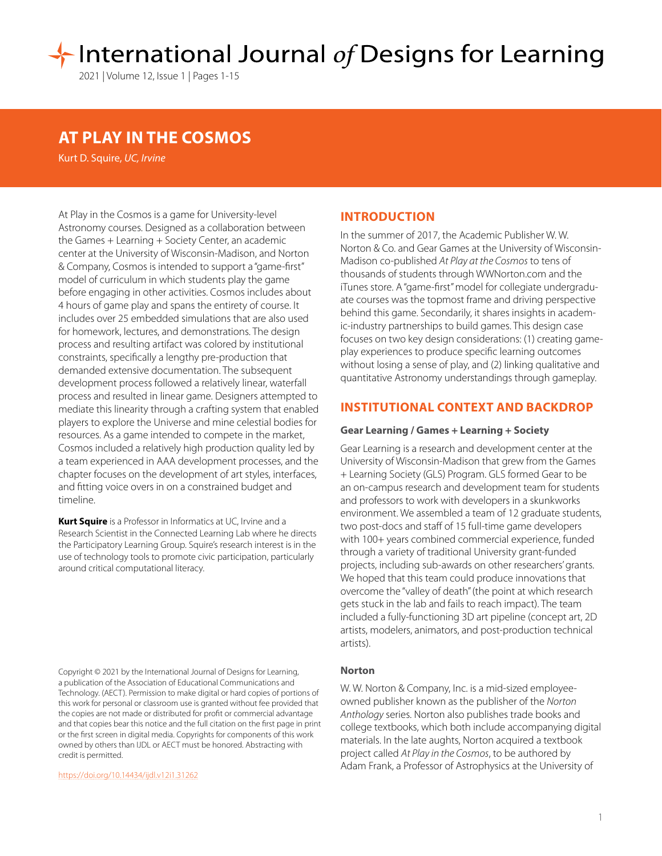# International Journal of Designs for Learning

2021 | Volume 12, Issue 1 | Pages 1-15

## **AT PLAY IN THE COSMOS**

Kurt D. Squire, *UC, Irvine*

At Play in the Cosmos is a game for University-level Astronomy courses. Designed as a collaboration between the Games + Learning + Society Center, an academic center at the University of Wisconsin-Madison, and Norton & Company, Cosmos is intended to support a "game-first" model of curriculum in which students play the game before engaging in other activities. Cosmos includes about 4 hours of game play and spans the entirety of course. It includes over 25 embedded simulations that are also used for homework, lectures, and demonstrations. The design process and resulting artifact was colored by institutional constraints, specifically a lengthy pre-production that demanded extensive documentation. The subsequent development process followed a relatively linear, waterfall process and resulted in linear game. Designers attempted to mediate this linearity through a crafting system that enabled players to explore the Universe and mine celestial bodies for resources. As a game intended to compete in the market, Cosmos included a relatively high production quality led by a team experienced in AAA development processes, and the chapter focuses on the development of art styles, interfaces, and fitting voice overs in on a constrained budget and timeline.

**Kurt Squire** is a Professor in Informatics at UC, Irvine and a Research Scientist in the Connected Learning Lab where he directs the Participatory Learning Group. Squire's research interest is in the use of technology tools to promote civic participation, particularly around critical computational literacy.

Copyright © 2021 by the International Journal of Designs for Learning, a publication of the Association of Educational Communications and Technology. (AECT). Permission to make digital or hard copies of portions of this work for personal or classroom use is granted without fee provided that the copies are not made or distributed for profit or commercial advantage and that copies bear this notice and the full citation on the first page in print or the first screen in digital media. Copyrights for components of this work owned by others than IJDL or AECT must be honored. Abstracting with credit is permitted.

[https://doi.org/](https://doi.org/10.14434/ijdl.v12i1.31262)10.14434/ijdl.v12i1.31262

## **INTRODUCTION**

In the summer of 2017, the Academic Publisher W. W. Norton & Co. and Gear Games at the University of Wisconsin-Madison co-published *At Play at the Cosmos* to tens of thousands of students through WWNorton.com and the iTunes store. A "game-first" model for collegiate undergraduate courses was the topmost frame and driving perspective behind this game. Secondarily, it shares insights in academic-industry partnerships to build games. This design case focuses on two key design considerations: (1) creating gameplay experiences to produce specific learning outcomes without losing a sense of play, and (2) linking qualitative and quantitative Astronomy understandings through gameplay.

## **INSTITUTIONAL CONTEXT AND BACKDROP**

#### **Gear Learning / Games + Learning + Society**

Gear Learning is a research and development center at the University of Wisconsin-Madison that grew from the Games + Learning Society (GLS) Program. GLS formed Gear to be an on-campus research and development team for students and professors to work with developers in a skunkworks environment. We assembled a team of 12 graduate students, two post-docs and staff of 15 full-time game developers with 100+ years combined commercial experience, funded through a variety of traditional University grant-funded projects, including sub-awards on other researchers' grants. We hoped that this team could produce innovations that overcome the "valley of death" (the point at which research gets stuck in the lab and fails to reach impact). The team included a fully-functioning 3D art pipeline (concept art, 2D artists, modelers, animators, and post-production technical artists).

#### **Norton**

W. W. Norton & Company, Inc. is a mid-sized employeeowned publisher known as the publisher of the *Norton Anthology* series. Norton also publishes trade books and college textbooks, which both include accompanying digital materials. In the late aughts, Norton acquired a textbook project called *At Play in the Cosmos*, to be authored by Adam Frank, a Professor of Astrophysics at the University of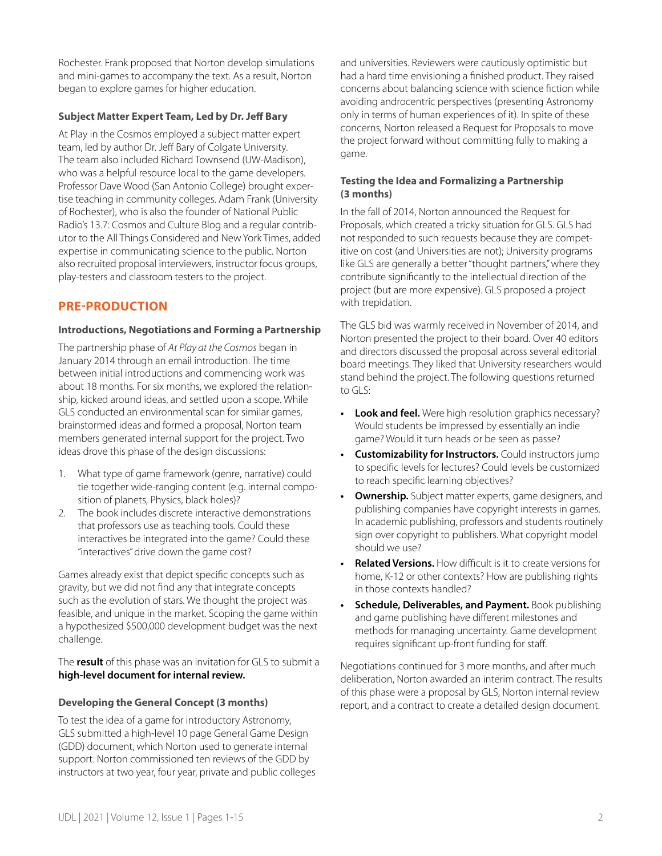Rochester. Frank proposed that Norton develop simulations and mini-games to accompany the text. As a result, Norton began to explore games for higher education.

## **Subject Matter Expert Team, Led by Dr. Jeff Bary**

At Play in the Cosmos employed a subject matter expert team, led by author Dr. Jeff Bary of Colgate University. The team also included Richard Townsend (UW-Madison), who was a helpful resource local to the game developers. Professor Dave Wood (San Antonio College) brought expertise teaching in community colleges. Adam Frank (University of Rochester), who is also the founder of National Public Radio's 13.7: Cosmos and Culture Blog and a regular contributor to the All Things Considered and New York Times, added expertise in communicating science to the public. Norton also recruited proposal interviewers, instructor focus groups, play-testers and classroom testers to the project.

## **PRE-PRODUCTION**

## **Introductions, Negotiations and Forming a Partnership**

The partnership phase of *At Play at the Cosmos* began in January 2014 through an email introduction. The time between initial introductions and commencing work was about 18 months. For six months, we explored the relationship, kicked around ideas, and settled upon a scope. While GLS conducted an environmental scan for similar games, brainstormed ideas and formed a proposal, Norton team members generated internal support for the project. Two ideas drove this phase of the design discussions:

- 1. What type of game framework (genre, narrative) could tie together wide-ranging content (e.g. internal composition of planets, Physics, black holes)?
- 2. The book includes discrete interactive demonstrations that professors use as teaching tools. Could these interactives be integrated into the game? Could these "interactives" drive down the game cost?

Games already exist that depict specific concepts such as gravity, but we did not find any that integrate concepts such as the evolution of stars. We thought the project was feasible, and unique in the market. Scoping the game within a hypothesized \$500,000 development budget was the next challenge.

The **result** of this phase was an invitation for GLS to submit a **high-level document for internal review.**

## **Developing the General Concept (3 months)**

To test the idea of a game for introductory Astronomy, GLS submitted a high-level 10 page General Game Design (GDD) document, which Norton used to generate internal support. Norton commissioned ten reviews of the GDD by instructors at two year, four year, private and public colleges and universities. Reviewers were cautiously optimistic but had a hard time envisioning a finished product. They raised concerns about balancing science with science fiction while avoiding androcentric perspectives (presenting Astronomy only in terms of human experiences of it). In spite of these concerns, Norton released a Request for Proposals to move the project forward without committing fully to making a game.

## **Testing the Idea and Formalizing a Partnership (3 months)**

In the fall of 2014, Norton announced the Request for Proposals, which created a tricky situation for GLS. GLS had not responded to such requests because they are competitive on cost (and Universities are not); University programs like GLS are generally a better "thought partners," where they contribute significantly to the intellectual direction of the project (but are more expensive). GLS proposed a project with trepidation.

The GLS bid was warmly received in November of 2014, and Norton presented the project to their board. Over 40 editors and directors discussed the proposal across several editorial board meetings. They liked that University researchers would stand behind the project. The following questions returned to GLS:

- **• Look and feel.** Were high resolution graphics necessary? Would students be impressed by essentially an indie game? Would it turn heads or be seen as passe?
- **• Customizability for Instructors.** Could instructors jump to specific levels for lectures? Could levels be customized to reach specific learning objectives?
- **• Ownership.** Subject matter experts, game designers, and publishing companies have copyright interests in games. In academic publishing, professors and students routinely sign over copyright to publishers. What copyright model should we use?
- **• Related Versions.** How difficult is it to create versions for home, K-12 or other contexts? How are publishing rights in those contexts handled?
- **• Schedule, Deliverables, and Payment.** Book publishing and game publishing have different milestones and methods for managing uncertainty. Game development requires significant up-front funding for staff.

Negotiations continued for 3 more months, and after much deliberation, Norton awarded an interim contract. The results of this phase were a proposal by GLS, Norton internal review report, and a contract to create a detailed design document.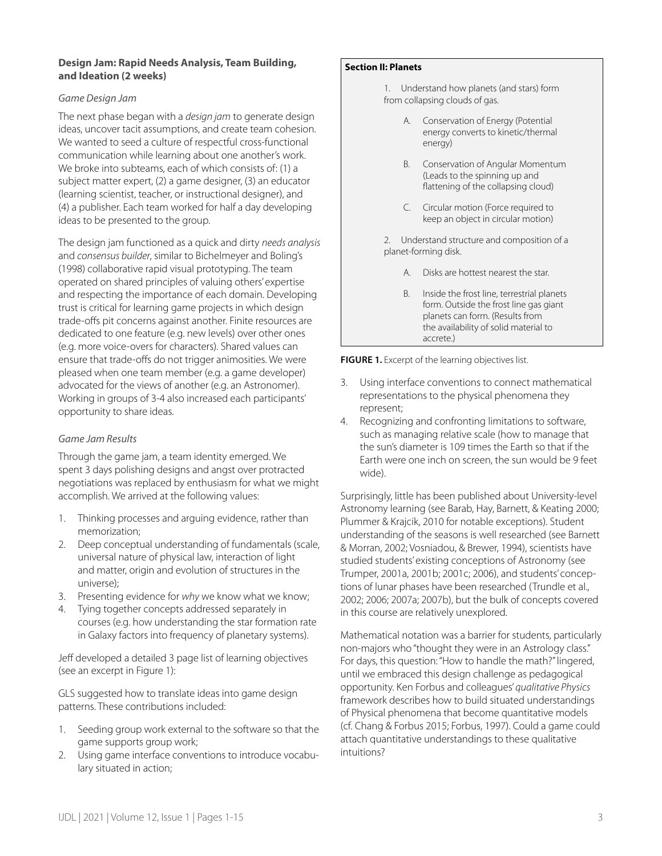## **Design Jam: Rapid Needs Analysis, Team Building, and Ideation (2 weeks)**

## *Game Design Jam*

The next phase began with a *design jam* to generate design ideas, uncover tacit assumptions, and create team cohesion. We wanted to seed a culture of respectful cross-functional communication while learning about one another's work. We broke into subteams, each of which consists of: (1) a subject matter expert, (2) a game designer, (3) an educator (learning scientist, teacher, or instructional designer), and (4) a publisher. Each team worked for half a day developing ideas to be presented to the group.

The design jam functioned as a quick and dirty *needs analysis*  and *consensus builder*, similar to Bichelmeyer and Boling's (1998) collaborative rapid visual prototyping. The team operated on shared principles of valuing others' expertise and respecting the importance of each domain. Developing trust is critical for learning game projects in which design trade-offs pit concerns against another. Finite resources are dedicated to one feature (e.g. new levels) over other ones (e.g. more voice-overs for characters). Shared values can ensure that trade-offs do not trigger animosities. We were pleased when one team member (e.g. a game developer) advocated for the views of another (e.g. an Astronomer). Working in groups of 3-4 also increased each participants' opportunity to share ideas.

## *Game Jam Results*

Through the game jam, a team identity emerged. We spent 3 days polishing designs and angst over protracted negotiations was replaced by enthusiasm for what we might accomplish. We arrived at the following values:

- 1. Thinking processes and arguing evidence, rather than memorization;
- 2. Deep conceptual understanding of fundamentals (scale, universal nature of physical law, interaction of light and matter, origin and evolution of structures in the universe);
- 3. Presenting evidence for *why* we know what we know;
- 4. Tying together concepts addressed separately in courses (e.g. how understanding the star formation rate in Galaxy factors into frequency of planetary systems).

Jeff developed a detailed 3 page list of learning objectives (see an excerpt in Figure 1):

GLS suggested how to translate ideas into game design patterns. These contributions included:

- 1. Seeding group work external to the software so that the game supports group work;
- 2. Using game interface conventions to introduce vocabulary situated in action;

#### **Section II: Planets**

1. Understand how planets (and stars) form from collapsing clouds of gas.

- A. Conservation of Energy (Potential energy converts to kinetic/thermal energy)
- B. Conservation of Angular Momentum (Leads to the spinning up and flattening of the collapsing cloud)
- C. Circular motion (Force required to keep an object in circular motion)

2. Understand structure and composition of a planet-forming disk.

- A. Disks are hottest nearest the star.
- B. Inside the frost line, terrestrial planets form. Outside the frost line gas giant planets can form. (Results from the availability of solid material to accrete.)

**FIGURE 1.** Excerpt of the learning objectives list.

- 3. Using interface conventions to connect mathematical representations to the physical phenomena they represent;
- 4. Recognizing and confronting limitations to software, such as managing relative scale (how to manage that the sun's diameter is 109 times the Earth so that if the Earth were one inch on screen, the sun would be 9 feet wide).

Surprisingly, little has been published about University-level Astronomy learning (see Barab, Hay, Barnett, & Keating 2000; Plummer & Krajcik, 2010 for notable exceptions). Student understanding of the seasons is well researched (see Barnett & Morran, 2002; Vosniadou, & Brewer, 1994), scientists have studied students' existing conceptions of Astronomy (see Trumper, 2001a, 2001b; 2001c; 2006), and students' conceptions of lunar phases have been researched (Trundle et al., 2002; 2006; 2007a; 2007b), but the bulk of concepts covered in this course are relatively unexplored.

Mathematical notation was a barrier for students, particularly non-majors who "thought they were in an Astrology class." For days, this question: "How to handle the math?" lingered, until we embraced this design challenge as pedagogical opportunity. Ken Forbus and colleagues' *qualitative Physics* framework describes how to build situated understandings of Physical phenomena that become quantitative models (cf. Chang & Forbus 2015; Forbus, 1997). Could a game could attach quantitative understandings to these qualitative intuitions?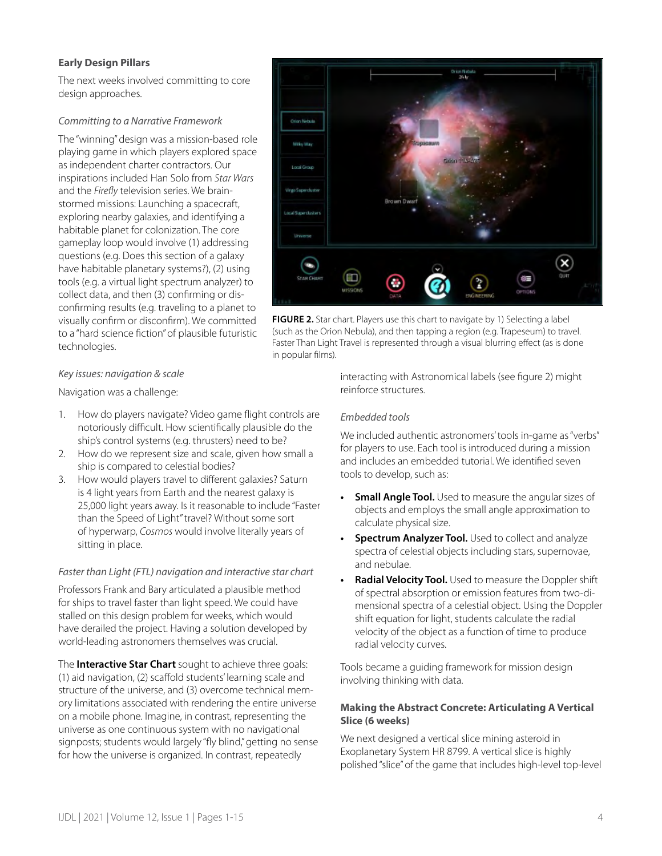## **Early Design Pillars**

The next weeks involved committing to core design approaches.

## *Committing to a Narrative Framework*

The "winning" design was a mission-based role playing game in which players explored space as independent charter contractors. Our inspirations included Han Solo from *Star Wars* and the *Firefly* television series. We brainstormed missions: Launching a spacecraft, exploring nearby galaxies, and identifying a habitable planet for colonization. The core gameplay loop would involve (1) addressing questions (e.g. Does this section of a galaxy have habitable planetary systems?), (2) using tools (e.g. a virtual light spectrum analyzer) to collect data, and then (3) confirming or disconfirming results (e.g. traveling to a planet to visually confirm or disconfirm). We committed to a "hard science fiction" of plausible futuristic technologies.

## Orion Nebul Milku Wa **Gridol Local Group**  $(\mathsf{x})$  $\overline{\phantom{a}}$ Ð œ

**FIGURE 2.** Star chart. Players use this chart to navigate by 1) Selecting a label (such as the Orion Nebula), and then tapping a region (e.g. Trapeseum) to travel. Faster Than Light Travel is represented through a visual blurring effect (as is done in popular films).

## *Key issues: navigation & scale*

Navigation was a challenge:

- 1. How do players navigate? Video game flight controls are notoriously difficult. How scientifically plausible do the ship's control systems (e.g. thrusters) need to be?
- 2. How do we represent size and scale, given how small a ship is compared to celestial bodies?
- 3. How would players travel to different galaxies? Saturn is 4 light years from Earth and the nearest galaxy is 25,000 light years away. Is it reasonable to include "Faster than the Speed of Light" travel? Without some sort of hyperwarp, *Cosmos* would involve literally years of sitting in place.

### *Faster than Light (FTL) navigation and interactive star chart*

Professors Frank and Bary articulated a plausible method for ships to travel faster than light speed. We could have stalled on this design problem for weeks, which would have derailed the project. Having a solution developed by world-leading astronomers themselves was crucial.

The **Interactive Star Chart** sought to achieve three goals: (1) aid navigation, (2) scaffold students' learning scale and structure of the universe, and (3) overcome technical memory limitations associated with rendering the entire universe on a mobile phone. Imagine, in contrast, representing the universe as one continuous system with no navigational signposts; students would largely "fly blind," getting no sense for how the universe is organized. In contrast, repeatedly

interacting with Astronomical labels (see figure 2) might reinforce structures.

## *Embedded tools*

We included authentic astronomers' tools in-game as "verbs" for players to use. Each tool is introduced during a mission and includes an embedded tutorial. We identified seven tools to develop, such as:

- **Small Angle Tool.** Used to measure the angular sizes of objects and employs the small angle approximation to calculate physical size.
- **Spectrum Analyzer Tool.** Used to collect and analyze spectra of celestial objects including stars, supernovae, and nebulae.
- **• Radial Velocity Tool.** Used to measure the Doppler shift of spectral absorption or emission features from two-dimensional spectra of a celestial object. Using the Doppler shift equation for light, students calculate the radial velocity of the object as a function of time to produce radial velocity curves.

Tools became a guiding framework for mission design involving thinking with data.

## **Making the Abstract Concrete: Articulating A Vertical Slice (6 weeks)**

We next designed a vertical slice mining asteroid in Exoplanetary System HR 8799. A vertical slice is highly polished "slice" of the game that includes high-level top-level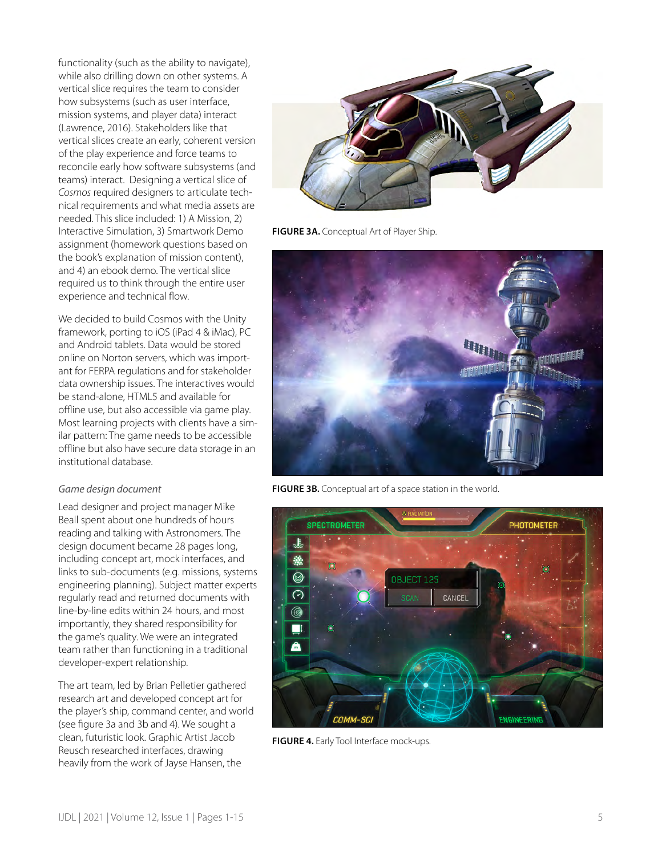functionality (such as the ability to navigate), while also drilling down on other systems. A vertical slice requires the team to consider how subsystems (such as user interface, mission systems, and player data) interact (Lawrence, 2016). Stakeholders like that vertical slices create an early, coherent version of the play experience and force teams to reconcile early how software subsystems (and teams) interact. Designing a vertical slice of *Cosmos* required designers to articulate technical requirements and what media assets are needed. This slice included: 1) A Mission, 2) Interactive Simulation, 3) Smartwork Demo assignment (homework questions based on the book's explanation of mission content), and 4) an ebook demo. The vertical slice required us to think through the entire user experience and technical flow.

We decided to build Cosmos with the Unity framework, porting to iOS (iPad 4 & iMac), PC and Android tablets. Data would be stored online on Norton servers, which was important for FERPA regulations and for stakeholder data ownership issues. The interactives would be stand-alone, HTML5 and available for offline use, but also accessible via game play. Most learning projects with clients have a similar pattern: The game needs to be accessible offline but also have secure data storage in an institutional database.

### *Game design document*

Lead designer and project manager Mike Beall spent about one hundreds of hours reading and talking with Astronomers. The design document became 28 pages long, including concept art, mock interfaces, and links to sub-documents (e.g. missions, systems engineering planning). Subject matter experts regularly read and returned documents with line-by-line edits within 24 hours, and most importantly, they shared responsibility for the game's quality. We were an integrated team rather than functioning in a traditional developer-expert relationship.

The art team, led by Brian Pelletier gathered research art and developed concept art for the player's ship, command center, and world (see figure 3a and 3b and 4). We sought a clean, futuristic look. Graphic Artist Jacob Reusch researched interfaces, drawing heavily from the work of Jayse Hansen, the



**FIGURE 3A.** Conceptual Art of Player Ship.



**FIGURE 3B.** Conceptual art of a space station in the world.



**FIGURE 4.** Early Tool Interface mock-ups.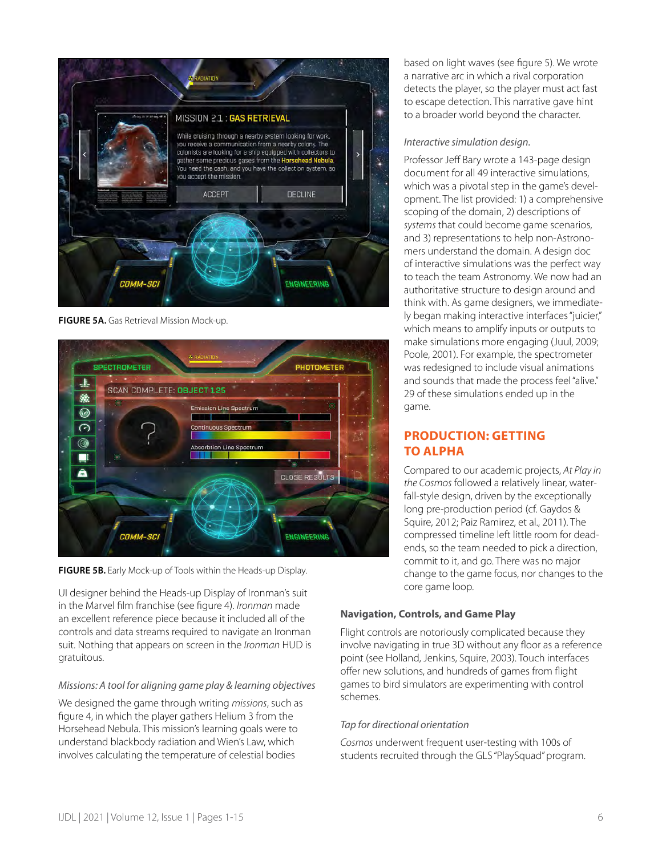

**FIGURE 5A.** Gas Retrieval Mission Mock-up.



**FIGURE 5B.** Early Mock-up of Tools within the Heads-up Display.

UI designer behind the Heads-up Display of Ironman's suit in the Marvel film franchise (see figure 4). *Ironman* made an excellent reference piece because it included all of the controls and data streams required to navigate an Ironman suit. Nothing that appears on screen in the *Ironman* HUD is gratuitous.

## *Missions: A tool for aligning game play & learning objectives*

We designed the game through writing *missions*, such as figure 4, in which the player gathers Helium 3 from the Horsehead Nebula. This mission's learning goals were to understand blackbody radiation and Wien's Law, which involves calculating the temperature of celestial bodies

based on light waves (see figure 5). We wrote a narrative arc in which a rival corporation detects the player, so the player must act fast to escape detection. This narrative gave hint to a broader world beyond the character.

## *Interactive simulation design.*

Professor Jeff Bary wrote a 143-page design document for all 49 interactive simulations, which was a pivotal step in the game's development. The list provided: 1) a comprehensive scoping of the domain, 2) descriptions of *systems* that could become game scenarios, and 3) representations to help non-Astronomers understand the domain. A design doc of interactive simulations was the perfect way to teach the team Astronomy. We now had an authoritative structure to design around and think with. As game designers, we immediately began making interactive interfaces "juicier," which means to amplify inputs or outputs to make simulations more engaging (Juul, 2009; Poole, 2001). For example, the spectrometer was redesigned to include visual animations and sounds that made the process feel "alive." 29 of these simulations ended up in the game.

## **PRODUCTION: GETTING TO ALPHA**

Compared to our academic projects, *At Play in the Cosmos* followed a relatively linear, waterfall-style design, driven by the exceptionally long pre-production period (cf. Gaydos & Squire, 2012; Paiz Ramirez, et al., 2011). The compressed timeline left little room for deadends, so the team needed to pick a direction, commit to it, and go. There was no major change to the game focus, nor changes to the core game loop.

## **Navigation, Controls, and Game Play**

Flight controls are notoriously complicated because they involve navigating in true 3D without any floor as a reference point (see Holland, Jenkins, Squire, 2003). Touch interfaces offer new solutions, and hundreds of games from flight games to bird simulators are experimenting with control schemes.

## *Tap for directional orientation*

*Cosmos* underwent frequent user-testing with 100s of students recruited through the GLS "PlaySquad" program.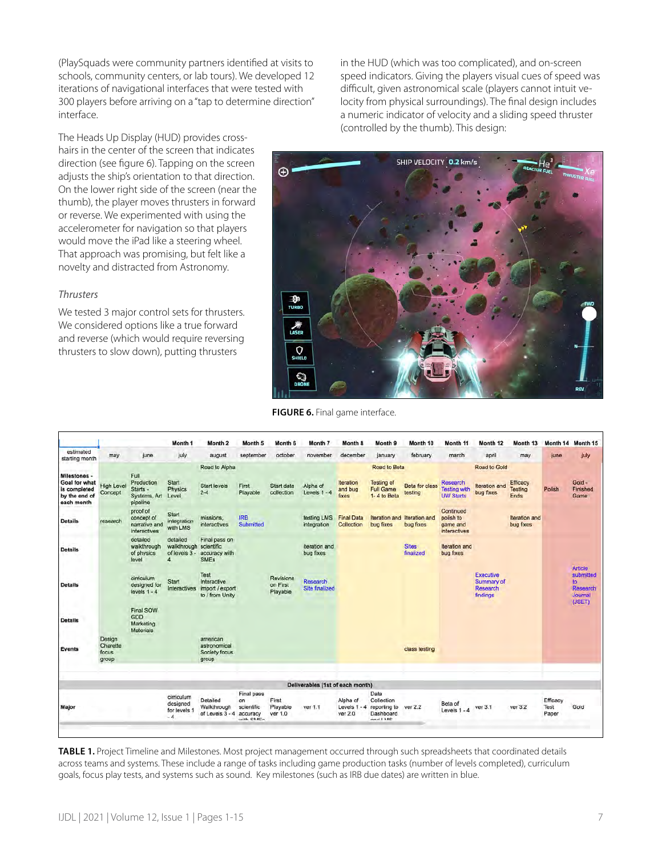(PlaySquads were community partners identified at visits to schools, community centers, or lab tours). We developed 12 iterations of navigational interfaces that were tested with 300 players before arriving on a "tap to determine direction" interface.

in the HUD (which was too complicated), and on-screen speed indicators. Giving the players visual cues of speed was difficult, given astronomical scale (players cannot intuit velocity from physical surroundings). The final design includes a numeric indicator of velocity and a sliding speed thruster (controlled by the thumb). This design:

The Heads Up Display (HUD) provides crosshairs in the center of the screen that indicates direction (see figure 6). Tapping on the screen adjusts the ship's orientation to that direction. On the lower right side of the screen (near the thumb), the player moves thrusters in forward or reverse. We experimented with using the accelerometer for navigation so that players would move the iPad like a steering wheel. That approach was promising, but felt like a novelty and distracted from Astronomy.

## *Thrusters*

We tested 3 major control sets for thrusters. We considered options like a true forward and reverse (which would require reversing thrusters to slow down), putting thrusters



**FIGURE 6.** Final game interface.

|                                                                                     |                                      |                                                            | Month 1                                        | Month 2                                                     | Month 5                                                        | Month 6                           | Month 7                           | Month 8                             | Month 9                                                                     | Month 10                         | Month 11                                                   | Month 12                                               | Month 13                    | Month 14                  | Month 15                                                     |
|-------------------------------------------------------------------------------------|--------------------------------------|------------------------------------------------------------|------------------------------------------------|-------------------------------------------------------------|----------------------------------------------------------------|-----------------------------------|-----------------------------------|-------------------------------------|-----------------------------------------------------------------------------|----------------------------------|------------------------------------------------------------|--------------------------------------------------------|-----------------------------|---------------------------|--------------------------------------------------------------|
| estimated<br>starting month                                                         | may                                  | june                                                       | july                                           | august                                                      | september                                                      | october                           | november                          | december                            | january                                                                     | february                         | march                                                      | april                                                  | may                         | june                      | july                                                         |
| Milestones -<br><b>Goal for what</b><br>is completed<br>by the end of<br>each month | <b>High Level</b><br>Concept         | Full<br>Production<br>Starts -<br>Systems, Art<br>pipeline | Start<br>Physics<br>Level                      | Road to Alpha<br><b>Start levels</b><br>$2 - 4$             | First<br>Playable                                              | Start data<br>collection          | Alpha of<br>Levels $1 - 4$        | Iteration<br>and bug<br>fixes       | <b>Road to Beta</b><br><b>Testing of</b><br><b>Full Game</b><br>1-4 to Beta | <b>Beta for class</b><br>testing | <b>Research</b><br><b>Testing with</b><br><b>UW Starts</b> | Road to Gold<br><b>Iteration</b> and<br>bug fixes      | Efficacy<br>Testing<br>Ends | Polish                    | Gold -<br>Finished<br>Game                                   |
| <b>Details</b>                                                                      | research                             | proof of<br>concept of<br>narrative and<br>interactives    | Start<br>integration<br>with LMS               | missions.<br>interactives                                   | <b>IRB</b><br>Submitted                                        |                                   | testing LMS<br>integration        | <b>Final Data</b><br>Collection     | Iteration and<br>bug fixes                                                  | Iteration and<br>bug fixes       | Continued<br>polish to<br>game and<br>interactives         |                                                        | Iteration and<br>bug fixes  |                           |                                                              |
| <b>Details</b>                                                                      |                                      | detailed<br>walkthrough<br>of physics<br>level             | detailed<br>walkthrough<br>of levels 3 -<br>4  | Final pass on<br>scientific<br>accuracy with<br><b>SMEs</b> |                                                                |                                   | iteration and<br>bug fixes        |                                     |                                                                             | <b>Sites</b><br>finalized        | Iteration and<br>bug fixes                                 |                                                        |                             |                           |                                                              |
| <b>Details</b>                                                                      |                                      | cirriculum<br>designed for<br>levels $1 - 4$               | Start<br>Interactives                          | Test<br>Interactive<br>import / export<br>to / from Unity   |                                                                | Revisions<br>on First<br>Playable | <b>Research</b><br>Site finalized |                                     |                                                                             |                                  |                                                            | <b>Executive</b><br>Summary of<br>Research<br>findings |                             |                           | Article<br>submitted<br>to.<br>Research<br>Journal<br>(JSET) |
| <b>Details</b>                                                                      |                                      | Final SOW<br>GDD<br>Marketing<br><b>Materials</b>          |                                                |                                                             |                                                                |                                   |                                   |                                     |                                                                             |                                  |                                                            |                                                        |                             |                           |                                                              |
| <b>Events</b>                                                                       | Design<br>Charette<br>focus<br>group |                                                            |                                                | american<br>astronomical<br>Society focus<br>group          |                                                                |                                   |                                   |                                     |                                                                             | class testing                    |                                                            |                                                        |                             |                           |                                                              |
|                                                                                     |                                      |                                                            |                                                |                                                             |                                                                |                                   | Deliverables (1st of each month)  |                                     |                                                                             |                                  |                                                            |                                                        |                             |                           |                                                              |
| Major                                                                               |                                      |                                                            | cirriculum<br>designed<br>for levels 1<br>$-4$ | Detailed<br>Walkthrough<br>of Levels 3 - 4                  | Final pass<br>on<br>scientific<br>accuracy<br><b>With OMER</b> | First<br>Playable<br>ver 1.0      | ver 1.1                           | Alpha of<br>Levels 1 - 4<br>ver 2.0 | Data<br>Collection<br>reporting to<br>Dashboard<br>and IMC                  | ver 2.2                          | Beta of<br>Levels $1 - 4$                                  | ver 3.1                                                | ver 3.2                     | Efficacy<br>Test<br>Paper | Gold                                                         |

**TABLE 1.** Project Timeline and Milestones. Most project management occurred through such spreadsheets that coordinated details across teams and systems. These include a range of tasks including game production tasks (number of levels completed), curriculum goals, focus play tests, and systems such as sound. Key milestones (such as IRB due dates) are written in blue.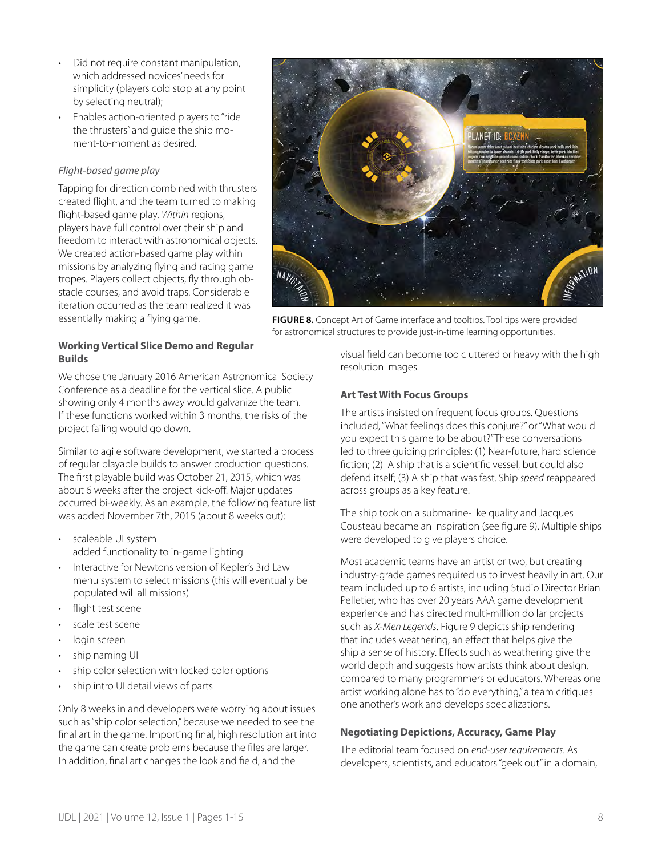- Did not require constant manipulation, which addressed novices' needs for simplicity (players cold stop at any point by selecting neutral);
- Enables action-oriented players to "ride the thrusters" and guide the ship moment-to-moment as desired.

## *Flight-based game play*

Tapping for direction combined with thrusters created flight, and the team turned to making flight-based game play. *Within* regions, players have full control over their ship and freedom to interact with astronomical objects. We created action-based game play within missions by analyzing flying and racing game tropes. Players collect objects, fly through obstacle courses, and avoid traps. Considerable iteration occurred as the team realized it was essentially making a flying game.



**FIGURE 8.** Concept Art of Game interface and tooltips. Tool tips were provided for astronomical structures to provide just-in-time learning opportunities.

## **Working Vertical Slice Demo and Regular Builds**

We chose the January 2016 American Astronomical Society Conference as a deadline for the vertical slice. A public showing only 4 months away would galvanize the team. If these functions worked within 3 months, the risks of the project failing would go down.

Similar to agile software development, we started a process of regular playable builds to answer production questions. The first playable build was October 21, 2015, which was about 6 weeks after the project kick-off. Major updates occurred bi-weekly. As an example, the following feature list was added November 7th, 2015 (about 8 weeks out):

- scaleable UI system added functionality to in-game lighting
- Interactive for Newtons version of Kepler's 3rd Law menu system to select missions (this will eventually be populated will all missions)
- flight test scene
- scale test scene
- login screen
- ship naming UI
- ship color selection with locked color options
- ship intro UI detail views of parts

Only 8 weeks in and developers were worrying about issues such as "ship color selection," because we needed to see the final art in the game. Importing final, high resolution art into the game can create problems because the files are larger. In addition, final art changes the look and field, and the

visual field can become too cluttered or heavy with the high resolution images.

## **Art Test With Focus Groups**

The artists insisted on frequent focus groups. Questions included, "What feelings does this conjure?" or "What would you expect this game to be about?" These conversations led to three guiding principles: (1) Near-future, hard science fiction; (2) A ship that is a scientific vessel, but could also defend itself; (3) A ship that was fast. Ship *speed* reappeared across groups as a key feature.

The ship took on a submarine-like quality and Jacques Cousteau became an inspiration (see figure 9). Multiple ships were developed to give players choice.

Most academic teams have an artist or two, but creating industry-grade games required us to invest heavily in art. Our team included up to 6 artists, including Studio Director Brian Pelletier, who has over 20 years AAA game development experience and has directed multi-million dollar projects such as *X-Men Legends*. Figure 9 depicts ship rendering that includes weathering, an effect that helps give the ship a sense of history. Effects such as weathering give the world depth and suggests how artists think about design, compared to many programmers or educators. Whereas one artist working alone has to "do everything," a team critiques one another's work and develops specializations.

### **Negotiating Depictions, Accuracy, Game Play**

The editorial team focused on *end-user requirements*. As developers, scientists, and educators "geek out" in a domain,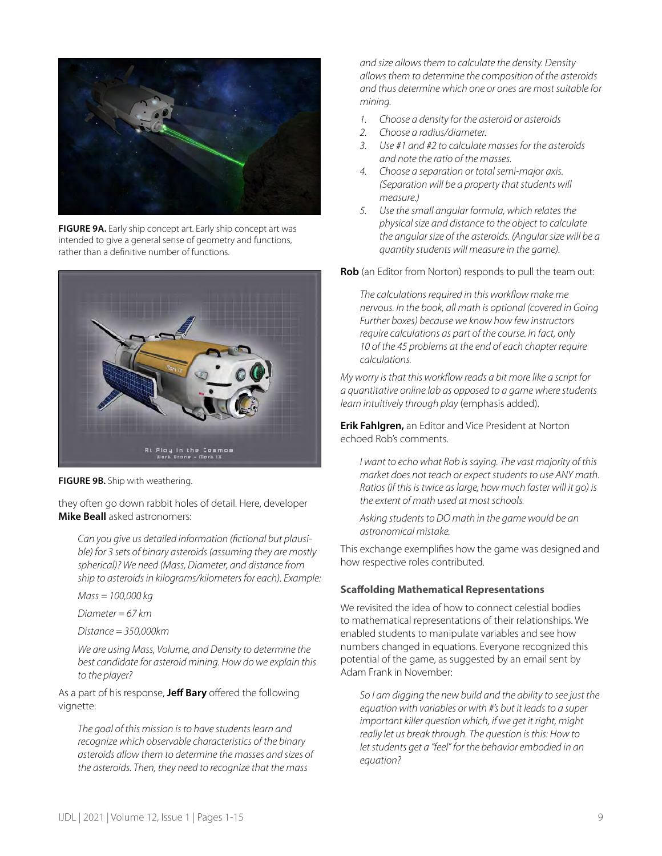

**FIGURE 9A.** Early ship concept art. Early ship concept art was intended to give a general sense of geometry and functions, rather than a definitive number of functions.



**FIGURE 9B.** Ship with weathering.

they often go down rabbit holes of detail. Here, developer **Mike Beall** asked astronomers:

*Can you give us detailed information (fictional but plausible) for 3 sets of binary asteroids (assuming they are mostly spherical)? We need (Mass, Diameter, and distance from ship to asteroids in kilograms/kilometers for each). Example:*

*Mass = 100,000 kg* 

*Diameter = 67 km*

*Distance = 350,000km*

*We are using Mass, Volume, and Density to determine the best candidate for asteroid mining. How do we explain this to the player?*

As a part of his response, **Jeff Bary** offered the following vignette:

*The goal of this mission is to have students learn and recognize which observable characteristics of the binary asteroids allow them to determine the masses and sizes of the asteroids. Then, they need to recognize that the mass* 

*and size allows them to calculate the density. Density allows them to determine the composition of the asteroids and thus determine which one or ones are most suitable for mining.*

- *1. Choose a density for the asteroid or asteroids*
- *2. Choose a radius/diameter.*
- *3. Use #1 and #2 to calculate masses for the asteroids and note the ratio of the masses.*
- *4. Choose a separation or total semi-major axis. (Separation will be a property that students will measure.)*
- *5. Use the small angular formula, which relates the physical size and distance to the object to calculate the angular size of the asteroids. (Angular size will be a quantity students will measure in the game).*

**Rob** (an Editor from Norton) responds to pull the team out:

*The calculations required in this workflow make me nervous. In the book, all math is optional (covered in Going Further boxes) because we know how few instructors require calculations as part of the course. In fact, only 10 of the 45 problems at the end of each chapter require calculations.*

*My worry is that this workflow reads a bit more like a script for a quantitative online lab as opposed to a game where students learn intuitively through play* (emphasis added).

**Erik Fahlgren,** an Editor and Vice President at Norton echoed Rob's comments.

*I want to echo what Rob is saying. The vast majority of this market does not teach or expect students to use ANY math. Ratios (if this is twice as large, how much faster will it go) is the extent of math used at most schools.*

*Asking students to DO math in the game would be an astronomical mistake.*

This exchange exemplifies how the game was designed and how respective roles contributed.

### **Scaffolding Mathematical Representations**

We revisited the idea of how to connect celestial bodies to mathematical representations of their relationships. We enabled students to manipulate variables and see how numbers changed in equations. Everyone recognized this potential of the game, as suggested by an email sent by Adam Frank in November:

*So I am digging the new build and the ability to see just the equation with variables or with #'s but it leads to a super important killer question which, if we get it right, might really let us break through. The question is this: How to let students get a "feel" for the behavior embodied in an equation?*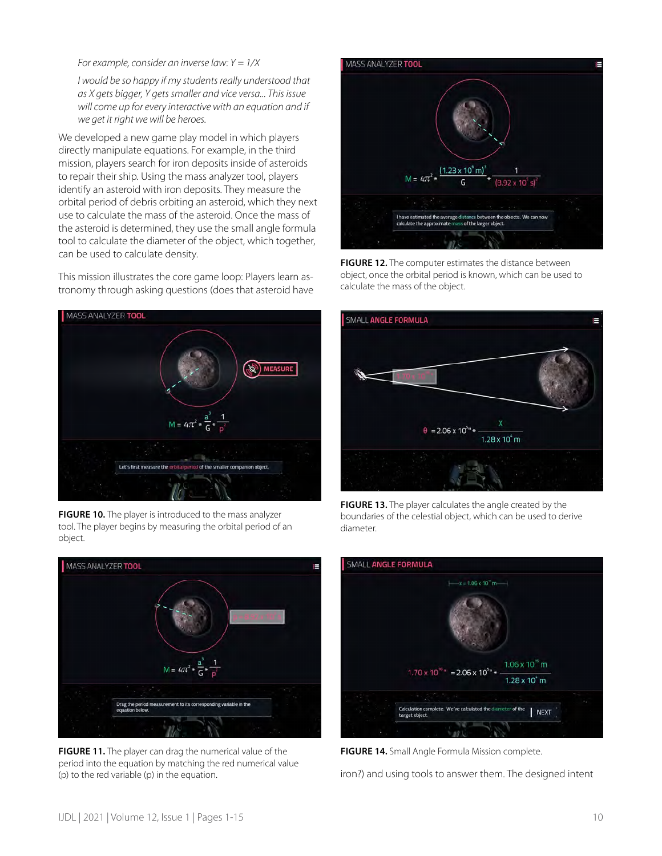#### *For example, consider an inverse law: Y = 1/X*

*I would be so happy if my students really understood that as X gets bigger, Y gets smaller and vice versa... This issue will come up for every interactive with an equation and if we get it right we will be heroes.*

We developed a new game play model in which players directly manipulate equations. For example, in the third mission, players search for iron deposits inside of asteroids to repair their ship. Using the mass analyzer tool, players identify an asteroid with iron deposits. They measure the orbital period of debris orbiting an asteroid, which they next use to calculate the mass of the asteroid. Once the mass of the asteroid is determined, they use the small angle formula tool to calculate the diameter of the object, which together, can be used to calculate density.

This mission illustrates the core game loop: Players learn astronomy through asking questions (does that asteroid have



**FIGURE 10.** The player is introduced to the mass analyzer tool. The player begins by measuring the orbital period of an object.



**FIGURE 11.** The player can drag the numerical value of the period into the equation by matching the red numerical value (p) to the red variable (p) in the equation.



**FIGURE 12.** The computer estimates the distance between object, once the orbital period is known, which can be used to calculate the mass of the object.



**FIGURE 13.** The player calculates the angle created by the boundaries of the celestial object, which can be used to derive diameter.



**FIGURE 14.** Small Angle Formula Mission complete.

iron?) and using tools to answer them. The designed intent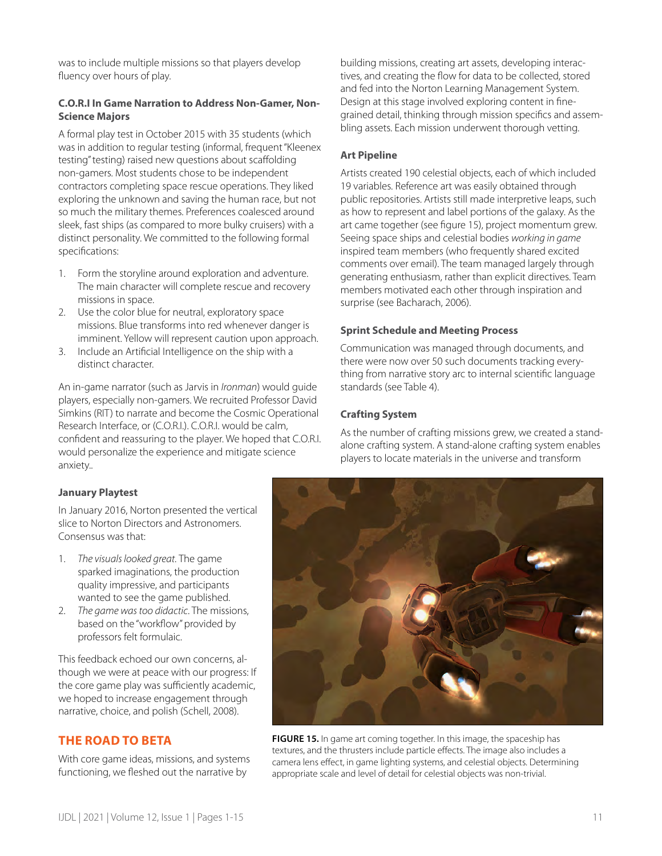was to include multiple missions so that players develop fluency over hours of play.

## **C.O.R.I In Game Narration to Address Non-Gamer, Non-Science Majors**

A formal play test in October 2015 with 35 students (which was in addition to regular testing (informal, frequent "Kleenex testing" testing) raised new questions about scaffolding non-gamers. Most students chose to be independent contractors completing space rescue operations. They liked exploring the unknown and saving the human race, but not so much the military themes. Preferences coalesced around sleek, fast ships (as compared to more bulky cruisers) with a distinct personality. We committed to the following formal specifications:

- 1. Form the storyline around exploration and adventure. The main character will complete rescue and recovery missions in space.
- 2. Use the color blue for neutral, exploratory space missions. Blue transforms into red whenever danger is imminent. Yellow will represent caution upon approach.
- 3. Include an Artificial Intelligence on the ship with a distinct character.

An in-game narrator (such as Jarvis in *Ironman*) would guide players, especially non-gamers. We recruited Professor David Simkins (RIT) to narrate and become the Cosmic Operational Research Interface, or (C.O.R.I.). C.O.R.I. would be calm, confident and reassuring to the player. We hoped that C.O.R.I. would personalize the experience and mitigate science anxiety..

building missions, creating art assets, developing interactives, and creating the flow for data to be collected, stored and fed into the Norton Learning Management System. Design at this stage involved exploring content in finegrained detail, thinking through mission specifics and assembling assets. Each mission underwent thorough vetting.

## **Art Pipeline**

Artists created 190 celestial objects, each of which included 19 variables. Reference art was easily obtained through public repositories. Artists still made interpretive leaps, such as how to represent and label portions of the galaxy. As the art came together (see figure 15), project momentum grew. Seeing space ships and celestial bodies *working in game* inspired team members (who frequently shared excited comments over email). The team managed largely through generating enthusiasm, rather than explicit directives. Team members motivated each other through inspiration and surprise (see Bacharach, 2006).

## **Sprint Schedule and Meeting Process**

Communication was managed through documents, and there were now over 50 such documents tracking everything from narrative story arc to internal scientific language standards (see Table 4).

## **Crafting System**

As the number of crafting missions grew, we created a standalone crafting system. A stand-alone crafting system enables players to locate materials in the universe and transform

## **January Playtest**

In January 2016, Norton presented the vertical slice to Norton Directors and Astronomers. Consensus was that:

- 1. *The visuals looked great.* The game sparked imaginations, the production quality impressive, and participants wanted to see the game published.
- 2. *The game was too didactic*. The missions, based on the "workflow" provided by professors felt formulaic.

This feedback echoed our own concerns, although we were at peace with our progress: If the core game play was sufficiently academic, we hoped to increase engagement through narrative, choice, and polish (Schell, 2008).

## **THE ROAD TO BETA**

With core game ideas, missions, and systems functioning, we fleshed out the narrative by



**FIGURE 15.** In game art coming together. In this image, the spaceship has textures, and the thrusters include particle effects. The image also includes a camera lens effect, in game lighting systems, and celestial objects. Determining appropriate scale and level of detail for celestial objects was non-trivial.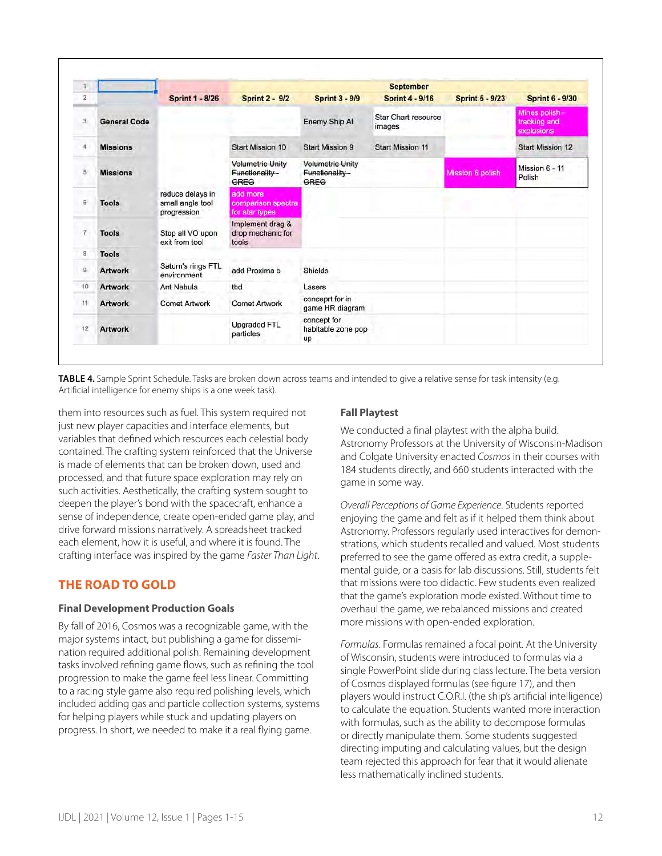| $\mathbf{1}$   |                     | <b>September</b>                                    |                                                   |                                            |                                      |                        |                                             |  |  |
|----------------|---------------------|-----------------------------------------------------|---------------------------------------------------|--------------------------------------------|--------------------------------------|------------------------|---------------------------------------------|--|--|
| $\mathbf{z}$   |                     | <b>Sprint 1 - 8/26</b>                              | <b>Sprint 2 - 9/2</b>                             | <b>Sprint 3 - 9/9</b>                      | <b>Sprint 4 - 9/16</b>               | <b>Sprint 5 - 9/23</b> | <b>Sprint 6 - 9/30</b>                      |  |  |
| $\mathbf{a}$   | <b>General Code</b> |                                                     |                                                   | Enemy Ship Al                              | <b>Star Chart resource</b><br>images |                        | Mines polish-<br>tracking and<br>explosions |  |  |
| 4              | <b>Missions</b>     |                                                     | <b>Start Mission 10</b>                           | <b>Start Mission 9</b>                     | <b>Start Mission 11</b>              |                        | Start Mission 12                            |  |  |
| $\overline{5}$ | <b>Missions</b>     |                                                     | <b>Volumetric Unity</b><br>Functionality-<br>GREG | Volumetric Unity<br>Functionality-<br>GREG |                                      | Mission 6 polish       | Mission 6 - 11<br>Polish                    |  |  |
| $\sqrt{6}$     | <b>Tools</b>        | reduce delays in<br>small angle tool<br>progression | add more<br>comparison spectra<br>for star types  |                                            |                                      |                        |                                             |  |  |
| $\tau$         | <b>Tools</b>        | Stop all VO upon<br>exit from tool                  | Implement drag &<br>drop mechanic for<br>tools    |                                            |                                      |                        |                                             |  |  |
| 8              | <b>Tools</b>        |                                                     |                                                   |                                            |                                      |                        |                                             |  |  |
| $\mathbf{g}$   | <b>Artwork</b>      | Saturn's rings FTL<br>environment                   | add Proxima b                                     | Shields                                    |                                      |                        |                                             |  |  |
| 10             | <b>Artwork</b>      | Ant Nebula                                          | tbd                                               | Lasers                                     |                                      |                        |                                             |  |  |
| 11             | <b>Artwork</b>      | <b>Comet Artwork</b>                                | <b>Comet Artwork</b>                              | conceprt for in<br>game HR diagram         |                                      |                        |                                             |  |  |
| 12             | <b>Artwork</b>      |                                                     | Upgraded FTL<br>particles                         | concept for<br>habitable zone pop<br>up    |                                      |                        |                                             |  |  |

**TABLE 4.** Sample Sprint Schedule. Tasks are broken down across teams and intended to give a relative sense for task intensity (e.g. Artificial intelligence for enemy ships is a one week task).

them into resources such as fuel. This system required not just new player capacities and interface elements, but variables that defined which resources each celestial body contained. The crafting system reinforced that the Universe is made of elements that can be broken down, used and processed, and that future space exploration may rely on such activities. Aesthetically, the crafting system sought to deepen the player's bond with the spacecraft, enhance a sense of independence, create open-ended game play, and drive forward missions narratively. A spreadsheet tracked each element, how it is useful, and where it is found. The crafting interface was inspired by the game *Faster Than Light*.

## **THE ROAD TO GOLD**

## **Final Development Production Goals**

By fall of 2016, Cosmos was a recognizable game, with the major systems intact, but publishing a game for dissemination required additional polish. Remaining development tasks involved refining game flows, such as refining the tool progression to make the game feel less linear. Committing to a racing style game also required polishing levels, which included adding gas and particle collection systems, systems for helping players while stuck and updating players on progress. In short, we needed to make it a real flying game.

## **Fall Playtest**

We conducted a final playtest with the alpha build. Astronomy Professors at the University of Wisconsin-Madison and Colgate University enacted *Cosmos* in their courses with 184 students directly, and 660 students interacted with the game in some way.

*Overall Perceptions of Game Experience*. Students reported enjoying the game and felt as if it helped them think about Astronomy. Professors regularly used interactives for demonstrations, which students recalled and valued. Most students preferred to see the game offered as extra credit, a supplemental guide, or a basis for lab discussions. Still, students felt that missions were too didactic. Few students even realized that the game's exploration mode existed. Without time to overhaul the game, we rebalanced missions and created more missions with open-ended exploration.

*Formulas*. Formulas remained a focal point. At the University of Wisconsin, students were introduced to formulas via a single PowerPoint slide during class lecture. The beta version of Cosmos displayed formulas (see figure 17), and then players would instruct C.O.R.I. (the ship's artificial intelligence) to calculate the equation. Students wanted more interaction with formulas, such as the ability to decompose formulas or directly manipulate them. Some students suggested directing imputing and calculating values, but the design team rejected this approach for fear that it would alienate less mathematically inclined students.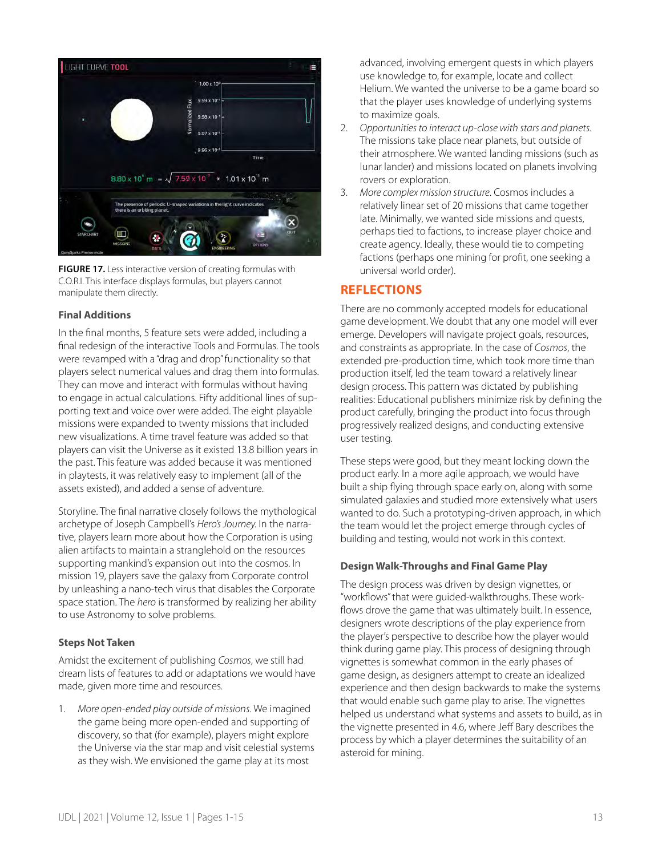

**FIGURE 17.** Less interactive version of creating formulas with C.O.R.I. This interface displays formulas, but players cannot manipulate them directly.

## **Final Additions**

In the final months, 5 feature sets were added, including a final redesign of the interactive Tools and Formulas. The tools were revamped with a "drag and drop" functionality so that players select numerical values and drag them into formulas. They can move and interact with formulas without having to engage in actual calculations. Fifty additional lines of supporting text and voice over were added. The eight playable missions were expanded to twenty missions that included new visualizations. A time travel feature was added so that players can visit the Universe as it existed 13.8 billion years in the past. This feature was added because it was mentioned in playtests, it was relatively easy to implement (all of the assets existed), and added a sense of adventure.

Storyline. The final narrative closely follows the mythological archetype of Joseph Campbell's *Hero's Journey.* In the narrative, players learn more about how the Corporation is using alien artifacts to maintain a stranglehold on the resources supporting mankind's expansion out into the cosmos. In mission 19, players save the galaxy from Corporate control by unleashing a nano-tech virus that disables the Corporate space station. The *hero* is transformed by realizing her ability to use Astronomy to solve problems.

### **Steps Not Taken**

Amidst the excitement of publishing *Cosmos*, we still had dream lists of features to add or adaptations we would have made, given more time and resources.

1. *More open-ended play outside of missions*. We imagined the game being more open-ended and supporting of discovery, so that (for example), players might explore the Universe via the star map and visit celestial systems as they wish. We envisioned the game play at its most

advanced, involving emergent quests in which players use knowledge to, for example, locate and collect Helium. We wanted the universe to be a game board so that the player uses knowledge of underlying systems to maximize goals.

- 2. *Opportunities to interact up-close with stars and planets.* The missions take place near planets, but outside of their atmosphere. We wanted landing missions (such as lunar lander) and missions located on planets involving rovers or exploration.
- 3. *More complex mission structure*. Cosmos includes a relatively linear set of 20 missions that came together late. Minimally, we wanted side missions and quests, perhaps tied to factions, to increase player choice and create agency. Ideally, these would tie to competing factions (perhaps one mining for profit, one seeking a universal world order).

## **REFLECTIONS**

There are no commonly accepted models for educational game development. We doubt that any one model will ever emerge. Developers will navigate project goals, resources, and constraints as appropriate. In the case of *Cosmos*, the extended pre-production time, which took more time than production itself, led the team toward a relatively linear design process. This pattern was dictated by publishing realities: Educational publishers minimize risk by defining the product carefully, bringing the product into focus through progressively realized designs, and conducting extensive user testing.

These steps were good, but they meant locking down the product early. In a more agile approach, we would have built a ship flying through space early on, along with some simulated galaxies and studied more extensively what users wanted to do. Such a prototyping-driven approach, in which the team would let the project emerge through cycles of building and testing, would not work in this context.

## **Design Walk-Throughs and Final Game Play**

The design process was driven by design vignettes, or "workflows" that were guided-walkthroughs. These workflows drove the game that was ultimately built. In essence, designers wrote descriptions of the play experience from the player's perspective to describe how the player would think during game play. This process of designing through vignettes is somewhat common in the early phases of game design, as designers attempt to create an idealized experience and then design backwards to make the systems that would enable such game play to arise. The vignettes helped us understand what systems and assets to build, as in the vignette presented in 4.6, where Jeff Bary describes the process by which a player determines the suitability of an asteroid for mining.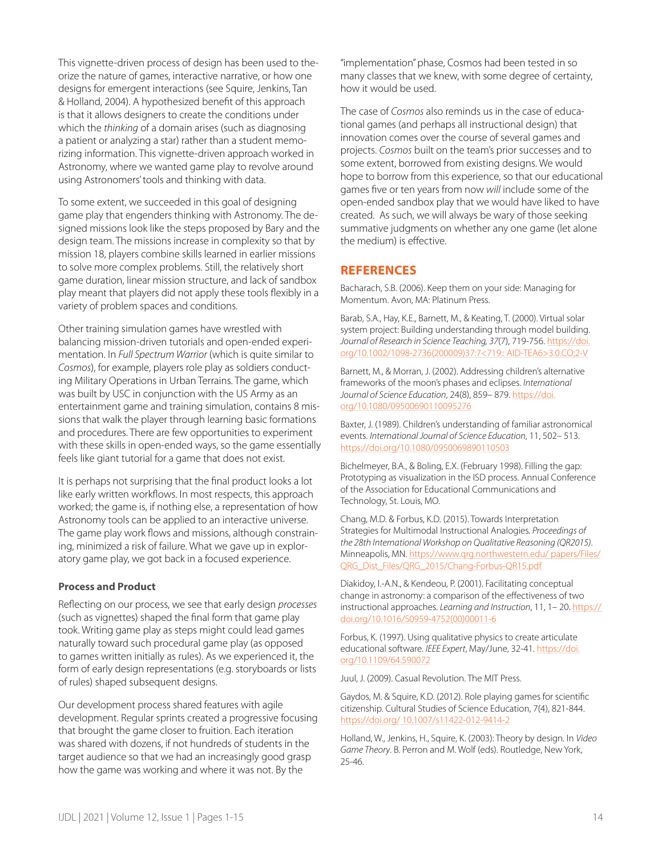This vignette-driven process of design has been used to theorize the nature of games, interactive narrative, or how one designs for emergent interactions (see Squire, Jenkins, Tan & Holland, 2004). A hypothesized benefit of this approach is that it allows designers to create the conditions under which the *thinking* of a domain arises (such as diagnosing a patient or analyzing a star) rather than a student memorizing information. This vignette-driven approach worked in Astronomy, where we wanted game play to revolve around using Astronomers' tools and thinking with data.

To some extent, we succeeded in this goal of designing game play that engenders thinking with Astronomy. The designed missions look like the steps proposed by Bary and the design team. The missions increase in complexity so that by mission 18, players combine skills learned in earlier missions to solve more complex problems. Still, the relatively short game duration, linear mission structure, and lack of sandbox play meant that players did not apply these tools flexibly in a variety of problem spaces and conditions.

Other training simulation games have wrestled with balancing mission-driven tutorials and open-ended experimentation. In *Full Spectrum Warrior* (which is quite similar to *Cosmos*), for example, players role play as soldiers conducting Military Operations in Urban Terrains. The game, which was built by USC in conjunction with the US Army as an entertainment game and training simulation, contains 8 missions that walk the player through learning basic formations and procedures. There are few opportunities to experiment with these skills in open-ended ways, so the game essentially feels like giant tutorial for a game that does not exist.

It is perhaps not surprising that the final product looks a lot like early written workflows. In most respects, this approach worked; the game is, if nothing else, a representation of how Astronomy tools can be applied to an interactive universe. The game play work flows and missions, although constraining, minimized a risk of failure. What we gave up in exploratory game play, we got back in a focused experience.

### **Process and Product**

Reflecting on our process, we see that early design *processes* (such as vignettes) shaped the final form that game play took. Writing game play as steps might could lead games naturally toward such procedural game play (as opposed to games written initially as rules). As we experienced it, the form of early design representations (e.g. storyboards or lists of rules) shaped subsequent designs.

Our development process shared features with agile development. Regular sprints created a progressive focusing that brought the game closer to fruition. Each iteration was shared with dozens, if not hundreds of students in the target audience so that we had an increasingly good grasp how the game was working and where it was not. By the

"implementation" phase, Cosmos had been tested in so many classes that we knew, with some degree of certainty, how it would be used.

The case of *Cosmos* also reminds us in the case of educational games (and perhaps all instructional design) that innovation comes over the course of several games and projects. *Cosmos* built on the team's prior successes and to some extent, borrowed from existing designs. We would hope to borrow from this experience, so that our educational games five or ten years from now *will* include some of the open-ended sandbox play that we would have liked to have created. As such, we will always be wary of those seeking summative judgments on whether any one game (let alone the medium) is effective.

## **REFERENCES**

Bacharach, S.B. (2006). Keep them on your side: Managing for Momentum. Avon, MA: Platinum Press.

Barab, S.A., Hay, K.E., Barnett, M., & Keating, T. (2000). Virtual solar system project: Building understanding through model building. Journal of Research in Science Teaching, 37(7), 719-756. [https://doi.](https://doi.org/10.1002/1098-2736(200009)37:7%3c719::%20AID-TEA6%3e3.0.CO;2-V) [org/10.1002/1098-2736\(200009\)37:7<719:: AID-TEA6>3.0.CO;2-V](https://doi.org/10.1002/1098-2736(200009)37:7%3c719::%20AID-TEA6%3e3.0.CO;2-V)

Barnett, M., & Morran, J. (2002). Addressing children's alternative frameworks of the moon's phases and eclipses. *International Journal of Science Education*, 24(8), 859– 879. [https://doi.](https://doi.org/10.1080/09500690110095276) [org/10.1080/09500690110095276](https://doi.org/10.1080/09500690110095276)

Baxter, J. (1989). Children's understanding of familiar astronomical events. *International Journal of Science Education*, 11, 502– 513. <https://doi.org/10.1080/0950069890110503>

Bichelmeyer, B.A., & Boling, E.X. (February 1998). Filling the gap: Prototyping as visualization in the ISD process. Annual Conference of the Association for Educational Communications and Technology, St. Louis, MO.

Chang, M.D. & Forbus, K.D. (2015). [Towards Interpretation](http://www.qrg.northwestern.edu/papers/Files/QRG_Dist_Files/QRG_2015/Chang-Forbus-QR15.pdf)  [Strategies for Multimodal Instructional Analogies](http://www.qrg.northwestern.edu/papers/Files/QRG_Dist_Files/QRG_2015/Chang-Forbus-QR15.pdf)*. Proceedings of the 28th International Workshop on Qualitative Reasoning (QR2015)*. Minneapolis, MN. [https://www.qrg.northwestern.edu/ papers/Files/](https://www.qrg.northwestern.edu/%20papers/Files/QRG_Dist_Files/QRG_2015/Chang-Forbus-QR15.pdf) [QRG\\_Dist\\_Files/QRG\\_2015/Chang-Forbus-QR15.pdf](https://www.qrg.northwestern.edu/%20papers/Files/QRG_Dist_Files/QRG_2015/Chang-Forbus-QR15.pdf)

Diakidoy, I.-A.N., & Kendeou, P. (2001). Facilitating conceptual change in astronomy: a comparison of the effectiveness of two instructional approaches. *Learning and Instruction*, 11, 1– 20. [https://](https://doi.org/10.1016/S0959-4752(00)00011-6) [doi.org/10.1016/S0959-4752\(00\)00011-6](https://doi.org/10.1016/S0959-4752(00)00011-6)

Forbus, K. (1997)[.](http://www.qrg.northwestern.edu/papers/Files/QRG_Dist_Files/QRG_1997/forbus_1997_using_qualitative_physics.pdf) [Using qualitative physics to create articulate](http://www.qrg.northwestern.edu/papers/Files/QRG_Dist_Files/QRG_1997/forbus_1997_using_qualitative_physics.pdf)  [educational software](http://www.qrg.northwestern.edu/papers/Files/QRG_Dist_Files/QRG_1997/forbus_1997_using_qualitative_physics.pdf). *IEEE Expert*, May/June, 32-41. [https://doi.](https://doi.org/10.1109/64.590072) [org/10.1109/64.590072](https://doi.org/10.1109/64.590072)

Juul, J. (2009). Casual Revolution. The MIT Press.

Gaydos, M. & Squire, K.D. (2012). Role playing games for scientific citizenship. Cultural Studies of Science Education, 7(4), 821-844. [https://doi.org/ 10.1007/s11422-012-9414-2](https://doi.org/%2010.1007/s11422-012-9414-2)

Holland, W., Jenkins, H., Squire, K. (2003): Theory by design. In *Video Game Theory*. B. Perron and M. Wolf (eds). Routledge, New York, 25-46.